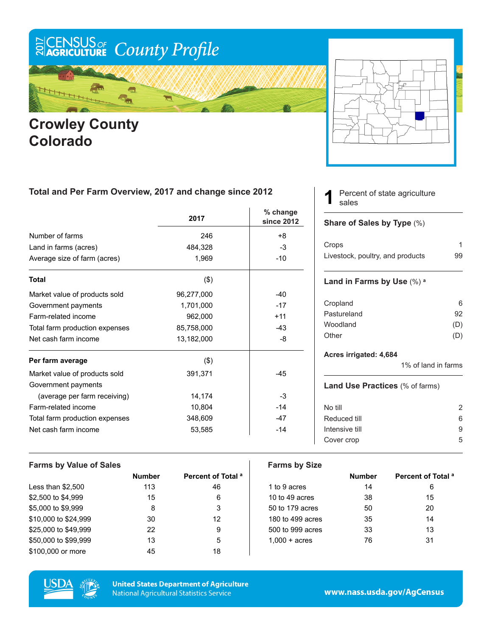# ECENSUS OF County Profile

Ą ٦.

### **Crowley County Colorado**



#### **Total and Per Farm Overview, 2017 and change since 2012**

|                                | 2017       | $%$ change<br>since 2012 |
|--------------------------------|------------|--------------------------|
| Number of farms                | 246        | +8                       |
| Land in farms (acres)          | 484,328    | -3                       |
| Average size of farm (acres)   | 1,969      | $-10$                    |
| <b>Total</b>                   | $($ \$)    |                          |
| Market value of products sold  | 96,277,000 | $-40$                    |
| Government payments            | 1,701,000  | $-17$                    |
| Farm-related income            | 962,000    | $+11$                    |
| Total farm production expenses | 85,758,000 | $-43$                    |
| Net cash farm income           | 13,182,000 | -8                       |
| Per farm average               | $($ \$)    |                          |
| Market value of products sold  | 391,371    | $-45$                    |
| Government payments            |            |                          |
| (average per farm receiving)   | 14,174     | -3                       |
| Farm-related income            | 10,804     | $-14$                    |
| Total farm production expenses | 348,609    | $-47$                    |
| Net cash farm income           | 53,585     | $-14$                    |

Percent of state agriculture sales **1**

#### **Share of Sales by Type** (%)

| Crops                            |    |
|----------------------------------|----|
| Livestock, poultry, and products | 99 |

#### **Land in Farms by Use** (%) **<sup>a</sup>**

| 6   |
|-----|
| 92  |
| (D) |
| (D) |
|     |

#### **Acres irrigated: 4,684**

1% of land in farms

#### **Land Use Practices** (% of farms)

| No till        | 2 |
|----------------|---|
| Reduced till   | 6 |
| Intensive till | Й |
| Cover crop     | 5 |
|                |   |

| <b>Farms by Value of Sales</b> |               |                               | <b>Farms by Size</b>   |               |                               |
|--------------------------------|---------------|-------------------------------|------------------------|---------------|-------------------------------|
|                                | <b>Number</b> | Percent of Total <sup>a</sup> |                        | <b>Number</b> | Percent of Total <sup>a</sup> |
| Less than $$2,500$             | 113           | 46                            | 1 to 9 acres           | 14            | 6                             |
| \$2,500 to \$4,999             | 15            | 6                             | 10 to 49 acres         | 38            | 15                            |
| \$5,000 to \$9,999             | 8             | 3                             | 50 to 179 acres        | 50            | 20                            |
| \$10,000 to \$24,999           | 30            | 12                            | 180 to 499 acres       | 35            | 14                            |
| \$25,000 to \$49,999           | 22            | 9                             | 500 to 999 acres       | 33            | 13                            |
| \$50,000 to \$99,999           | 13            | 5                             | $1.000 + \text{acres}$ | 76            | 31                            |
| \$100,000 or more              | 45            | 18                            |                        |               |                               |



**United States Department of Agriculture National Agricultural Statistics Service** 

www.nass.usda.gov/AgCensus